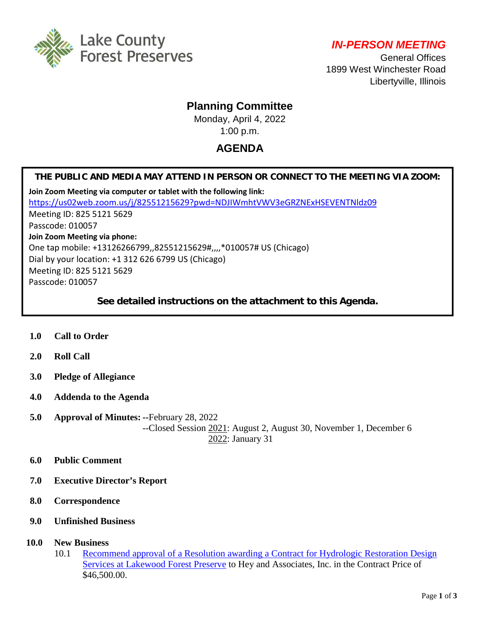

*IN-PERSON MEETING* 

General Offices 1899 West Winchester Road Libertyville, Illinois

## **Planning Committee**

Monday, April 4, 2022 1:00 p.m.

# **AGENDA**

### **THE PUBLIC AND MEDIA MAY ATTEND IN PERSON OR CONNECT TO THE MEETING VIA ZOOM:**

**Join Zoom Meeting via computer or tablet with the following link:** <https://us02web.zoom.us/j/82551215629?pwd=NDJIWmhtVWV3eGRZNExHSEVENTNldz09> Meeting ID: 825 5121 5629 Passcode: 010057 **Join Zoom Meeting via phone:** One tap mobile: +13126266799,,82551215629#,,,,\*010057# US (Chicago) Dial by your location: +1 312 626 6799 US (Chicago) Meeting ID: 825 5121 5629 Passcode: 010057

### **See detailed instructions on the attachment to this Agenda.**

- **1.0 Call to Order**
- **2.0 Roll Call**
- **3.0 Pledge of Allegiance**
- **4.0 Addenda to the Agenda**
- **5.0 Approval of Minutes: --**February 28, 2022 --Closed Session 2021: August 2, August 30, November 1, December 6 2022: January 31
- **6.0 Public Comment**
- **7.0 Executive Director's Report**
- **8.0 Correspondence**
- **9.0 Unfinished Business**
- **10.0 New Business**
	- 10.1 [Recommend approval of a Resolution awarding a Contract for Hydrologic Restoration Design](http://www.lcfpd.org/assets/1/28/Hydrologic_Restoration_Lakewood.pdf)  Services at [Lakewood Forest Preserve](http://www.lcfpd.org/assets/1/28/Hydrologic_Restoration_Lakewood.pdf) to Hey and Associates, Inc. in the Contract Price of \$46,500.00.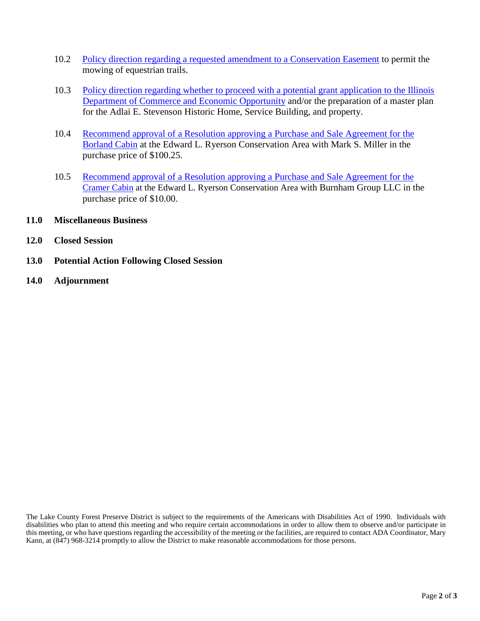- 10.2 [Policy direction regarding a requested amendment to a Conservation Easement](http://www.lcfpd.org/assets/1/28/Policy_direction_Easement_amendment_for_mowing_FINAL.pdf) to permit the mowing of equestrian trails.
- 10.3 [Policy direction regarding whether to proceed with a potential grant application to the Illinois](http://www.lcfpd.org/assets/1/28/Policy_direction_grant_application_Stevenson_Home.pdf)  [Department of Commerce and Economic Opportunity](http://www.lcfpd.org/assets/1/28/Policy_direction_grant_application_Stevenson_Home.pdf) and/or the preparation of a master plan for the Adlai E. Stevenson Historic Home, Service Building, and property.
- 10.4 [Recommend approval of a Resolution approving a Purchase and Sale Agreement for the](http://www.lcfpd.org/assets/1/28/10.10__BORLAND_CABIN_PSA.pdf)  [Borland Cabin](http://www.lcfpd.org/assets/1/28/10.10__BORLAND_CABIN_PSA.pdf) at the Edward L. Ryerson Conservation Area with Mark S. Miller in the purchase price of \$100.25.
- 10.5 [Recommend approval of a Resolution approving a Purchase and Sale Agreement for the](http://www.lcfpd.org/assets/1/28/10.11_CRAMER_CABIN__PSA.pdf)  [Cramer Cabin](http://www.lcfpd.org/assets/1/28/10.11_CRAMER_CABIN__PSA.pdf) at the Edward L. Ryerson Conservation Area with Burnham Group LLC in the purchase price of \$10.00.
- **11.0 Miscellaneous Business**
- **12.0 Closed Session**
- **13.0 Potential Action Following Closed Session**
- **14.0 Adjournment**

The Lake County Forest Preserve District is subject to the requirements of the Americans with Disabilities Act of 1990. Individuals with disabilities who plan to attend this meeting and who require certain accommodations in order to allow them to observe and/or participate in this meeting, or who have questions regarding the accessibility of the meeting or the facilities, are required to contact ADA Coordinator, Mary Kann, at (847) 968-3214 promptly to allow the District to make reasonable accommodations for those persons.